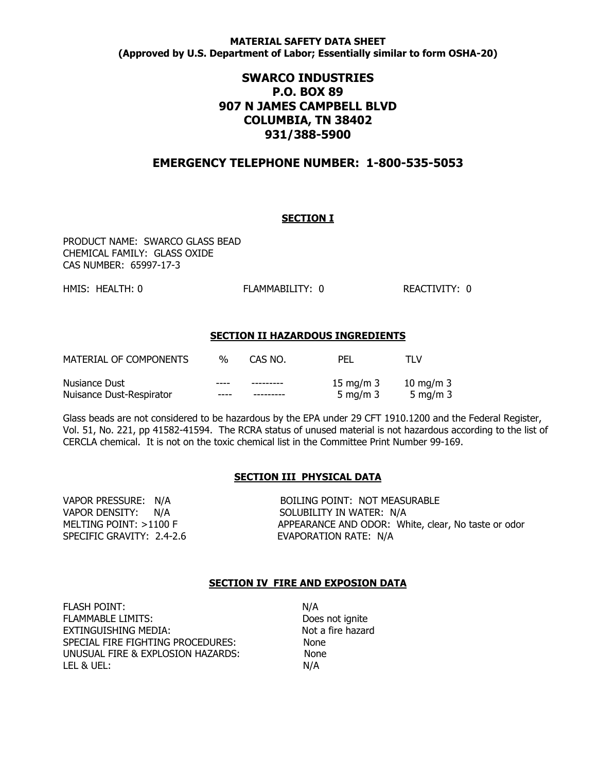## **MATERIAL SAFETY DATA SHEET (Approved by U.S. Department of Labor; Essentially similar to form OSHA-20)**

# **SWARCO INDUSTRIES P.O. BOX 89 907 N JAMES CAMPBELL BLVD COLUMBIA, TN 38402 931/388-5900**

## **EMERGENCY TELEPHONE NUMBER: 1-800-535-5053**

## **SECTION I**

PRODUCT NAME: SWARCO GLASS BEAD CHEMICAL FAMILY: GLASS OXIDE CAS NUMBER: 65997-17-3

HMIS: HEALTH: 0 FLAMMABILITY: 0 REACTIVITY: 0

## **SECTION II HAZARDOUS INGREDIENTS**

| MATERIAL OF COMPONENTS   | 0/2  | CAS NO. | PEL         | TI V                |
|--------------------------|------|---------|-------------|---------------------|
| Nusiance Dust            | ---- |         | 15 mg/m $3$ | $10 \text{ ma/m}$ 3 |
| Nuisance Dust-Respirator | ---- |         | 5 mg/m $3$  | 5 mg/m $3$          |

Glass beads are not considered to be hazardous by the EPA under 29 CFT 1910.1200 and the Federal Register, Vol. 51, No. 221, pp 41582-41594. The RCRA status of unused material is not hazardous according to the list of CERCLA chemical. It is not on the toxic chemical list in the Committee Print Number 99-169.

## **SECTION III PHYSICAL DATA**

SPECIFIC GRAVITY: 2.4-2.6 EVAPORATION RATE: N/A

VAPOR PRESSURE: N/A BOILING POINT: NOT MEASURABLE VAPOR DENSITY: N/A SOLUBILITY IN WATER: N/A MELTING POINT: >1100 F APPEARANCE AND ODOR: White, clear, No taste or odor

#### **SECTION IV FIRE AND EXPOSION DATA**

FLASH POINT: N/A FLAMMABLE LIMITS: Does not ignite EXTINGUISHING MEDIA: Not a fire hazard SPECIAL FIRE FIGHTING PROCEDURES: None UNUSUAL FIRE & EXPLOSION HAZARDS: None LEL & UEL: N/A